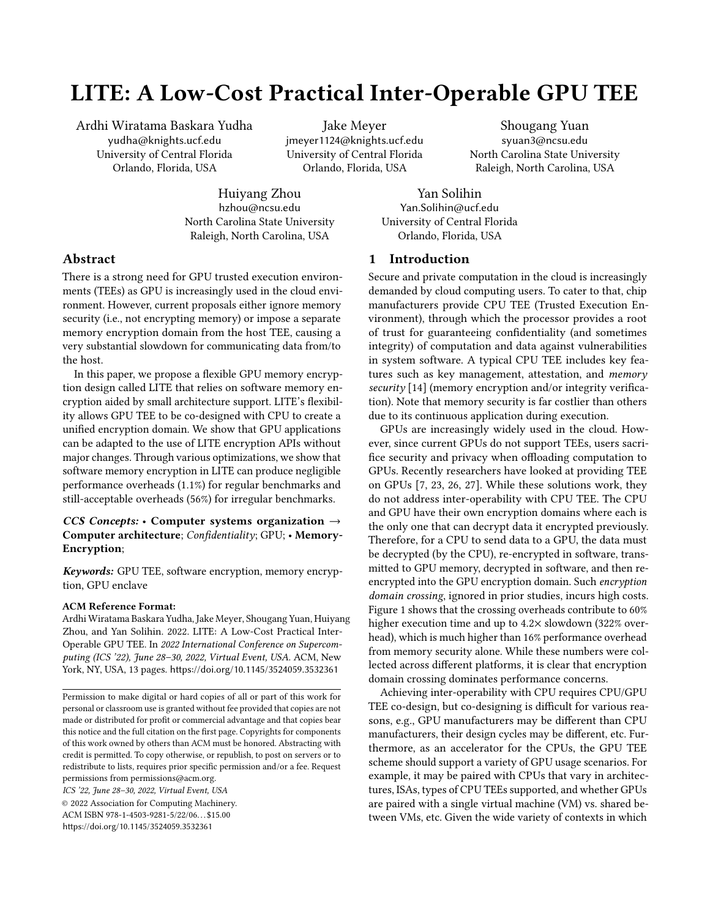# <span id="page-0-0"></span>LITE: A Low-Cost Practical Inter-Operable GPU TEE

Ardhi Wiratama Baskara Yudha yudha@knights.ucf.edu University of Central Florida Orlando, Florida, USA

Jake Meyer jmeyer1124@knights.ucf.edu University of Central Florida Orlando, Florida, USA

Shougang Yuan syuan3@ncsu.edu North Carolina State University Raleigh, North Carolina, USA

Huiyang Zhou hzhou@ncsu.edu North Carolina State University Raleigh, North Carolina, USA

Yan Solihin Yan.Solihin@ucf.edu University of Central Florida Orlando, Florida, USA

# Abstract

There is a strong need for GPU trusted execution environments (TEEs) as GPU is increasingly used in the cloud environment. However, current proposals either ignore memory security (i.e., not encrypting memory) or impose a separate memory encryption domain from the host TEE, causing a very substantial slowdown for communicating data from/to the host.

In this paper, we propose a flexible GPU memory encryption design called LITE that relies on software memory encryption aided by small architecture support. LITE's flexibility allows GPU TEE to be co-designed with CPU to create a unified encryption domain. We show that GPU applications can be adapted to the use of LITE encryption APIs without major changes. Through various optimizations, we show that software memory encryption in LITE can produce negligible performance overheads (1.1%) for regular benchmarks and still-acceptable overheads (56%) for irregular benchmarks.

# CCS Concepts: • Computer systems organization  $\rightarrow$ Computer architecture; Confidentiality; GPU; • Memory-Encryption;

Keywords: GPU TEE, software encryption, memory encryption, GPU enclave

#### ACM Reference Format:

Ardhi Wiratama Baskara Yudha, Jake Meyer, Shougang Yuan, Huiyang Zhou, and Yan Solihin. 2022. LITE: A Low-Cost Practical Inter-Operable GPU TEE. In 2022 International Conference on Supercomputing (ICS '22), June 28–30, 2022, Virtual Event, USA. ACM, New York, NY, USA, [13](#page-0-0) pages. <https://doi.org/10.1145/3524059.3532361>

ICS '22, June 28–30, 2022, Virtual Event, USA

© 2022 Association for Computing Machinery. ACM ISBN 978-1-4503-9281-5/22/06. . . \$15.00 <https://doi.org/10.1145/3524059.3532361>

# 1 Introduction

Secure and private computation in the cloud is increasingly demanded by cloud computing users. To cater to that, chip manufacturers provide CPU TEE (Trusted Execution Environment), through which the processor provides a root of trust for guaranteeing confidentiality (and sometimes integrity) of computation and data against vulnerabilities in system software. A typical CPU TEE includes key features such as key management, attestation, and memory security [\[14\]](#page-11-0) (memory encryption and/or integrity verification). Note that memory security is far costlier than others due to its continuous application during execution.

GPUs are increasingly widely used in the cloud. However, since current GPUs do not support TEEs, users sacrifice security and privacy when offloading computation to GPUs. Recently researchers have looked at providing TEE on GPUs [\[7,](#page-11-1) [23,](#page-11-2) [26,](#page-12-0) [27\]](#page-12-1). While these solutions work, they do not address inter-operability with CPU TEE. The CPU and GPU have their own encryption domains where each is the only one that can decrypt data it encrypted previously. Therefore, for a CPU to send data to a GPU, the data must be decrypted (by the CPU), re-encrypted in software, transmitted to GPU memory, decrypted in software, and then reencrypted into the GPU encryption domain. Such encryption domain crossing, ignored in prior studies, incurs high costs. Figure [1](#page-1-0) shows that the crossing overheads contribute to 60% higher execution time and up to 4.2× slowdown (322% overhead), which is much higher than 16% performance overhead from memory security alone. While these numbers were collected across different platforms, it is clear that encryption domain crossing dominates performance concerns.

Achieving inter-operability with CPU requires CPU/GPU TEE co-design, but co-designing is difficult for various reasons, e.g., GPU manufacturers may be different than CPU manufacturers, their design cycles may be different, etc. Furthermore, as an accelerator for the CPUs, the GPU TEE scheme should support a variety of GPU usage scenarios. For example, it may be paired with CPUs that vary in architectures, ISAs, types of CPU TEEs supported, and whether GPUs are paired with a single virtual machine (VM) vs. shared between VMs, etc. Given the wide variety of contexts in which

Permission to make digital or hard copies of all or part of this work for personal or classroom use is granted without fee provided that copies are not made or distributed for profit or commercial advantage and that copies bear this notice and the full citation on the first page. Copyrights for components of this work owned by others than ACM must be honored. Abstracting with credit is permitted. To copy otherwise, or republish, to post on servers or to redistribute to lists, requires prior specific permission and/or a fee. Request permissions from permissions@acm.org.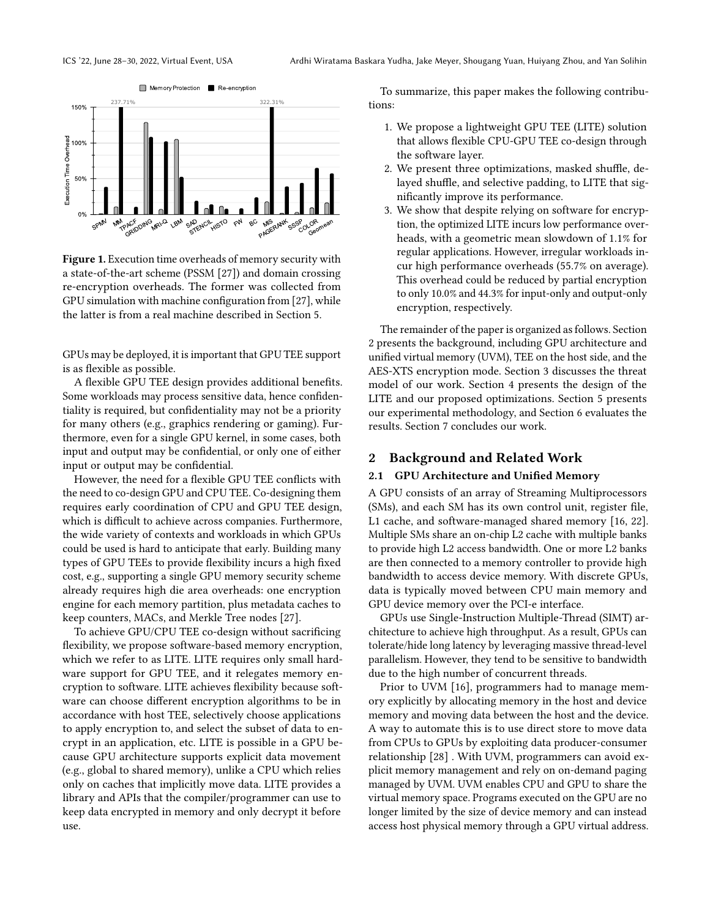<span id="page-1-0"></span>

Figure 1. Execution time overheads of memory security with a state-of-the-art scheme (PSSM [\[27\]](#page-12-1)) and domain crossing re-encryption overheads. The former was collected from GPU simulation with machine configuration from [\[27\]](#page-12-1), while the latter is from a real machine described in Section [5.](#page-8-0)

GPUs may be deployed, it is important that GPU TEE support is as flexible as possible.

A flexible GPU TEE design provides additional benefits. Some workloads may process sensitive data, hence confidentiality is required, but confidentiality may not be a priority for many others (e.g., graphics rendering or gaming). Furthermore, even for a single GPU kernel, in some cases, both input and output may be confidential, or only one of either input or output may be confidential.

However, the need for a flexible GPU TEE conflicts with the need to co-design GPU and CPU TEE. Co-designing them requires early coordination of CPU and GPU TEE design, which is difficult to achieve across companies. Furthermore, the wide variety of contexts and workloads in which GPUs could be used is hard to anticipate that early. Building many types of GPU TEEs to provide flexibility incurs a high fixed cost, e.g., supporting a single GPU memory security scheme already requires high die area overheads: one encryption engine for each memory partition, plus metadata caches to keep counters, MACs, and Merkle Tree nodes [\[27\]](#page-12-1).

To achieve GPU/CPU TEE co-design without sacrificing flexibility, we propose software-based memory encryption, which we refer to as LITE. LITE requires only small hardware support for GPU TEE, and it relegates memory encryption to software. LITE achieves flexibility because software can choose different encryption algorithms to be in accordance with host TEE, selectively choose applications to apply encryption to, and select the subset of data to encrypt in an application, etc. LITE is possible in a GPU because GPU architecture supports explicit data movement (e.g., global to shared memory), unlike a CPU which relies only on caches that implicitly move data. LITE provides a library and APIs that the compiler/programmer can use to keep data encrypted in memory and only decrypt it before use.

To summarize, this paper makes the following contributions:

- 1. We propose a lightweight GPU TEE (LITE) solution that allows flexible CPU-GPU TEE co-design through the software layer.
- 2. We present three optimizations, masked shuffle, delayed shuffle, and selective padding, to LITE that significantly improve its performance.
- 3. We show that despite relying on software for encryption, the optimized LITE incurs low performance overheads, with a geometric mean slowdown of 1.1% for regular applications. However, irregular workloads incur high performance overheads (55.7% on average). This overhead could be reduced by partial encryption to only 10.0% and 44.3% for input-only and output-only encryption, respectively.

The remainder of the paper is organized as follows. Section 2 presents the background, including GPU architecture and unified virtual memory (UVM), TEE on the host side, and the AES-XTS encryption mode. Section 3 discusses the threat model of our work. Section 4 presents the design of the LITE and our proposed optimizations. Section 5 presents our experimental methodology, and Section 6 evaluates the results. Section 7 concludes our work.

## 2 Background and Related Work

#### 2.1 GPU Architecture and Unified Memory

A GPU consists of an array of Streaming Multiprocessors (SMs), and each SM has its own control unit, register file, L1 cache, and software-managed shared memory [\[16,](#page-11-3) [22\]](#page-11-4). Multiple SMs share an on-chip L2 cache with multiple banks to provide high L2 access bandwidth. One or more L2 banks are then connected to a memory controller to provide high bandwidth to access device memory. With discrete GPUs, data is typically moved between CPU main memory and GPU device memory over the PCI-e interface.

GPUs use Single-Instruction Multiple-Thread (SIMT) architecture to achieve high throughput. As a result, GPUs can tolerate/hide long latency by leveraging massive thread-level parallelism. However, they tend to be sensitive to bandwidth due to the high number of concurrent threads.

Prior to UVM [\[16\]](#page-11-3), programmers had to manage memory explicitly by allocating memory in the host and device memory and moving data between the host and the device. A way to automate this is to use direct store to move data from CPUs to GPUs by exploiting data producer-consumer relationship [\[28\]](#page-12-2) . With UVM, programmers can avoid explicit memory management and rely on on-demand paging managed by UVM. UVM enables CPU and GPU to share the virtual memory space. Programs executed on the GPU are no longer limited by the size of device memory and can instead access host physical memory through a GPU virtual address.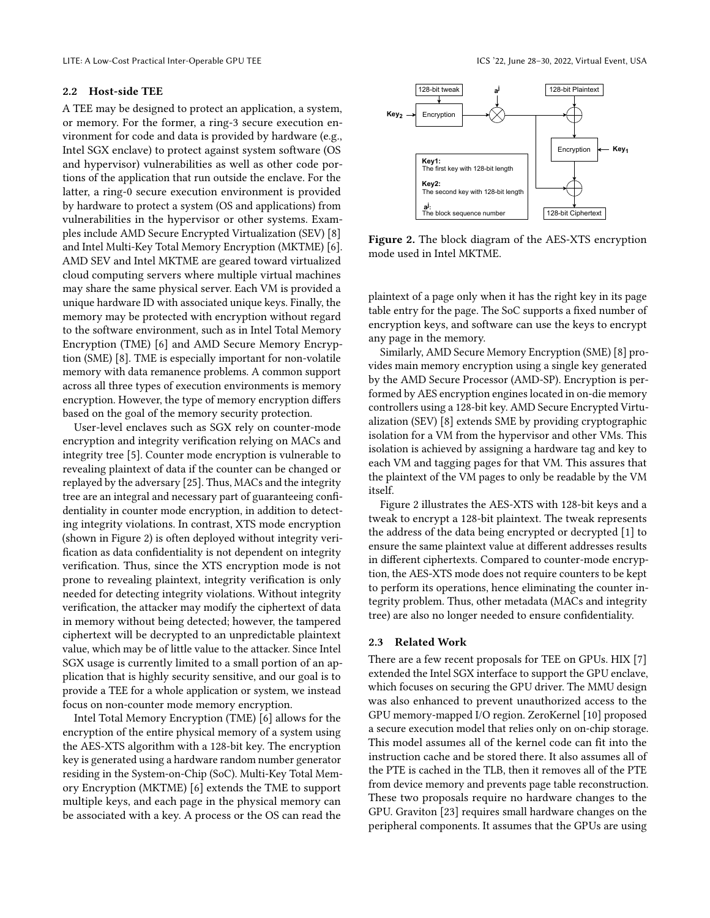LITE: A Low-Cost Practical Inter-Operable GPU TEE **Inter-Operable GPU TEE** inter-operable CRU TEE **ICS** '22, June 28–30, 2022, Virtual Event, USA

#### 2.2 Host-side TEE

A TEE may be designed to protect an application, a system, or memory. For the former, a ring-3 secure execution environment for code and data is provided by hardware (e.g., Intel SGX enclave) to protect against system software (OS and hypervisor) vulnerabilities as well as other code portions of the application that run outside the enclave. For the latter, a ring-0 secure execution environment is provided by hardware to protect a system (OS and applications) from vulnerabilities in the hypervisor or other systems. Examples include AMD Secure Encrypted Virtualization (SEV) [\[8\]](#page-11-5) and Intel Multi-Key Total Memory Encryption (MKTME) [\[6\]](#page-11-6). AMD SEV and Intel MKTME are geared toward virtualized cloud computing servers where multiple virtual machines may share the same physical server. Each VM is provided a unique hardware ID with associated unique keys. Finally, the memory may be protected with encryption without regard to the software environment, such as in Intel Total Memory Encryption (TME) [\[6\]](#page-11-6) and AMD Secure Memory Encryption (SME) [\[8\]](#page-11-5). TME is especially important for non-volatile memory with data remanence problems. A common support across all three types of execution environments is memory encryption. However, the type of memory encryption differs based on the goal of the memory security protection.

User-level enclaves such as SGX rely on counter-mode encryption and integrity verification relying on MACs and integrity tree [\[5\]](#page-11-7). Counter mode encryption is vulnerable to revealing plaintext of data if the counter can be changed or replayed by the adversary [\[25\]](#page-12-3). Thus, MACs and the integrity tree are an integral and necessary part of guaranteeing confidentiality in counter mode encryption, in addition to detecting integrity violations. In contrast, XTS mode encryption (shown in Figure [2\)](#page-2-0) is often deployed without integrity verification as data confidentiality is not dependent on integrity verification. Thus, since the XTS encryption mode is not prone to revealing plaintext, integrity verification is only needed for detecting integrity violations. Without integrity verification, the attacker may modify the ciphertext of data in memory without being detected; however, the tampered ciphertext will be decrypted to an unpredictable plaintext value, which may be of little value to the attacker. Since Intel SGX usage is currently limited to a small portion of an application that is highly security sensitive, and our goal is to provide a TEE for a whole application or system, we instead focus on non-counter mode memory encryption.

Intel Total Memory Encryption (TME) [\[6\]](#page-11-6) allows for the encryption of the entire physical memory of a system using the AES-XTS algorithm with a 128-bit key. The encryption key is generated using a hardware random number generator residing in the System-on-Chip (SoC). Multi-Key Total Memory Encryption (MKTME) [\[6\]](#page-11-6) extends the TME to support multiple keys, and each page in the physical memory can be associated with a key. A process or the OS can read the

<span id="page-2-0"></span>

Figure 2. The block diagram of the AES-XTS encryption mode used in Intel MKTME.

plaintext of a page only when it has the right key in its page table entry for the page. The SoC supports a fixed number of encryption keys, and software can use the keys to encrypt any page in the memory.

Similarly, AMD Secure Memory Encryption (SME) [\[8\]](#page-11-5) provides main memory encryption using a single key generated by the AMD Secure Processor (AMD-SP). Encryption is performed by AES encryption engines located in on-die memory controllers using a 128-bit key. AMD Secure Encrypted Virtualization (SEV) [\[8\]](#page-11-5) extends SME by providing cryptographic isolation for a VM from the hypervisor and other VMs. This isolation is achieved by assigning a hardware tag and key to each VM and tagging pages for that VM. This assures that the plaintext of the VM pages to only be readable by the VM itself.

Figure [2](#page-2-0) illustrates the AES-XTS with 128-bit keys and a tweak to encrypt a 128-bit plaintext. The tweak represents the address of the data being encrypted or decrypted [\[1\]](#page-11-8) to ensure the same plaintext value at different addresses results in different ciphertexts. Compared to counter-mode encryption, the AES-XTS mode does not require counters to be kept to perform its operations, hence eliminating the counter integrity problem. Thus, other metadata (MACs and integrity tree) are also no longer needed to ensure confidentiality.

#### 2.3 Related Work

There are a few recent proposals for TEE on GPUs. HIX [\[7\]](#page-11-1) extended the Intel SGX interface to support the GPU enclave, which focuses on securing the GPU driver. The MMU design was also enhanced to prevent unauthorized access to the GPU memory-mapped I/O region. ZeroKernel [\[10\]](#page-11-9) proposed a secure execution model that relies only on on-chip storage. This model assumes all of the kernel code can fit into the instruction cache and be stored there. It also assumes all of the PTE is cached in the TLB, then it removes all of the PTE from device memory and prevents page table reconstruction. These two proposals require no hardware changes to the GPU. Graviton [\[23\]](#page-11-2) requires small hardware changes on the peripheral components. It assumes that the GPUs are using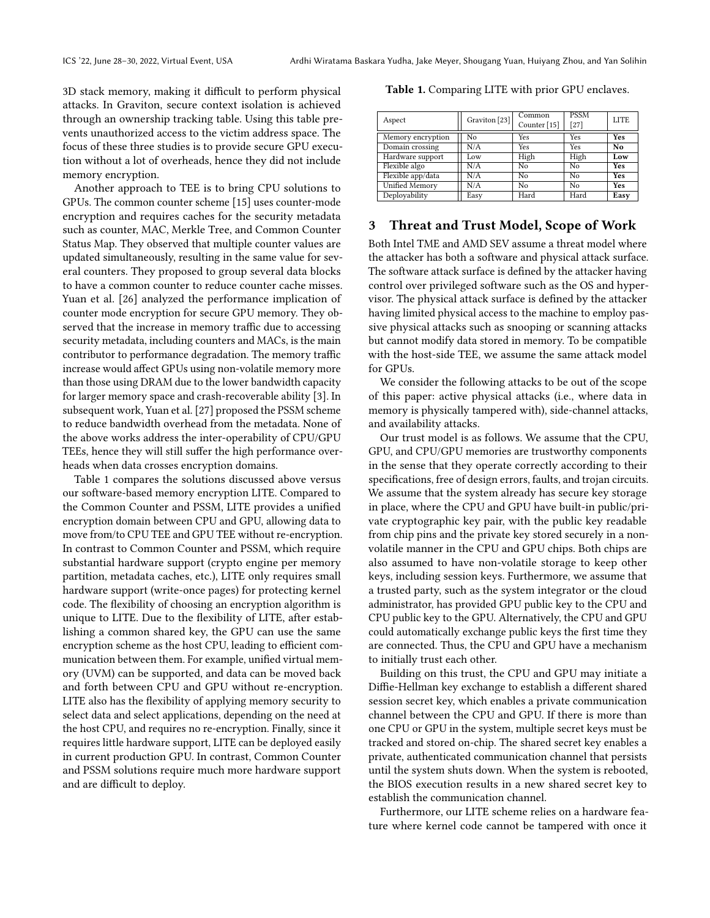3D stack memory, making it difficult to perform physical attacks. In Graviton, secure context isolation is achieved through an ownership tracking table. Using this table prevents unauthorized access to the victim address space. The focus of these three studies is to provide secure GPU execution without a lot of overheads, hence they did not include memory encryption.

Another approach to TEE is to bring CPU solutions to GPUs. The common counter scheme [\[15\]](#page-11-10) uses counter-mode encryption and requires caches for the security metadata such as counter, MAC, Merkle Tree, and Common Counter Status Map. They observed that multiple counter values are updated simultaneously, resulting in the same value for several counters. They proposed to group several data blocks to have a common counter to reduce counter cache misses. Yuan et al. [\[26\]](#page-12-0) analyzed the performance implication of counter mode encryption for secure GPU memory. They observed that the increase in memory traffic due to accessing security metadata, including counters and MACs, is the main contributor to performance degradation. The memory traffic increase would affect GPUs using non-volatile memory more than those using DRAM due to the lower bandwidth capacity for larger memory space and crash-recoverable ability [\[3\]](#page-11-11). In subsequent work, Yuan et al. [\[27\]](#page-12-1) proposed the PSSM scheme to reduce bandwidth overhead from the metadata. None of the above works address the inter-operability of CPU/GPU TEEs, hence they will still suffer the high performance overheads when data crosses encryption domains.

Table [1](#page-3-0) compares the solutions discussed above versus our software-based memory encryption LITE. Compared to the Common Counter and PSSM, LITE provides a unified encryption domain between CPU and GPU, allowing data to move from/to CPU TEE and GPU TEE without re-encryption. In contrast to Common Counter and PSSM, which require substantial hardware support (crypto engine per memory partition, metadata caches, etc.), LITE only requires small hardware support (write-once pages) for protecting kernel code. The flexibility of choosing an encryption algorithm is unique to LITE. Due to the flexibility of LITE, after establishing a common shared key, the GPU can use the same encryption scheme as the host CPU, leading to efficient communication between them. For example, unified virtual memory (UVM) can be supported, and data can be moved back and forth between CPU and GPU without re-encryption. LITE also has the flexibility of applying memory security to select data and select applications, depending on the need at the host CPU, and requires no re-encryption. Finally, since it requires little hardware support, LITE can be deployed easily in current production GPU. In contrast, Common Counter and PSSM solutions require much more hardware support and are difficult to deploy.

Aspect | Graviton [\[23\]](#page-11-2) Common Counter [\[15\]](#page-11-10) PSSM<br>[27] LITE Memory encryption No Yes Yes Yes Yes<br>Domain crossing N/A Yes Yes No Domain crossing N/A Yes Yes No<br>
Hardware support Low High High Low Hardware support Low High High Low<br>Flexible algo N/A No No Yes Flexible algo  $N/A$  No No Yes<br>Flexible ann/data  $N/A$  No No Yes Flexible app/data Unified Memory N/A No No Yes Deployability | Easy Hard Hard Easy

<span id="page-3-0"></span>Table 1. Comparing LITE with prior GPU enclaves.

# 3 Threat and Trust Model, Scope of Work

Both Intel TME and AMD SEV assume a threat model where the attacker has both a software and physical attack surface. The software attack surface is defined by the attacker having control over privileged software such as the OS and hypervisor. The physical attack surface is defined by the attacker having limited physical access to the machine to employ passive physical attacks such as snooping or scanning attacks but cannot modify data stored in memory. To be compatible with the host-side TEE, we assume the same attack model for GPUs.

We consider the following attacks to be out of the scope of this paper: active physical attacks (i.e., where data in memory is physically tampered with), side-channel attacks, and availability attacks.

Our trust model is as follows. We assume that the CPU, GPU, and CPU/GPU memories are trustworthy components in the sense that they operate correctly according to their specifications, free of design errors, faults, and trojan circuits. We assume that the system already has secure key storage in place, where the CPU and GPU have built-in public/private cryptographic key pair, with the public key readable from chip pins and the private key stored securely in a nonvolatile manner in the CPU and GPU chips. Both chips are also assumed to have non-volatile storage to keep other keys, including session keys. Furthermore, we assume that a trusted party, such as the system integrator or the cloud administrator, has provided GPU public key to the CPU and CPU public key to the GPU. Alternatively, the CPU and GPU could automatically exchange public keys the first time they are connected. Thus, the CPU and GPU have a mechanism to initially trust each other.

Building on this trust, the CPU and GPU may initiate a Diffie-Hellman key exchange to establish a different shared session secret key, which enables a private communication channel between the CPU and GPU. If there is more than one CPU or GPU in the system, multiple secret keys must be tracked and stored on-chip. The shared secret key enables a private, authenticated communication channel that persists until the system shuts down. When the system is rebooted, the BIOS execution results in a new shared secret key to establish the communication channel.

Furthermore, our LITE scheme relies on a hardware feature where kernel code cannot be tampered with once it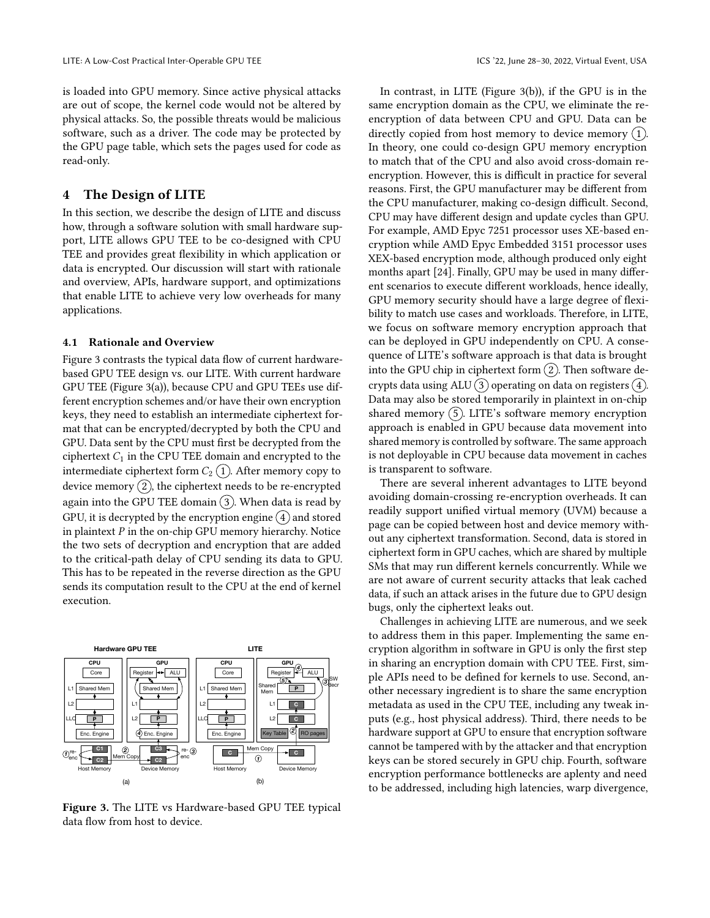is loaded into GPU memory. Since active physical attacks are out of scope, the kernel code would not be altered by physical attacks. So, the possible threats would be malicious software, such as a driver. The code may be protected by the GPU page table, which sets the pages used for code as read-only.

# 4 The Design of LITE

In this section, we describe the design of LITE and discuss how, through a software solution with small hardware support, LITE allows GPU TEE to be co-designed with CPU TEE and provides great flexibility in which application or data is encrypted. Our discussion will start with rationale and overview, APIs, hardware support, and optimizations that enable LITE to achieve very low overheads for many applications.

#### 4.1 Rationale and Overview

Figure [3](#page-4-0) contrasts the typical data flow of current hardwarebased GPU TEE design vs. our LITE. With current hardware GPU TEE (Figure [3\(](#page-4-0)a)), because CPU and GPU TEEs use different encryption schemes and/or have their own encryption keys, they need to establish an intermediate ciphertext format that can be encrypted/decrypted by both the CPU and GPU. Data sent by the CPU must first be decrypted from the ciphertext  $C_1$  in the CPU TEE domain and encrypted to the intermediate ciphertext form  $C_2$  (1). After memory copy to device memory  $(2)$ , the ciphertext needs to be re-encrypted again into the GPU TEE domain  $(3)$ . When data is read by GPU, it is decrypted by the encryption engine  $\overline{4}$  and stored in plaintext  $P$  in the on-chip GPU memory hierarchy. Notice the two sets of decryption and encryption that are added to the critical-path delay of CPU sending its data to GPU. This has to be repeated in the reverse direction as the GPU sends its computation result to the CPU at the end of kernel execution.

<span id="page-4-0"></span>

Figure 3. The LITE vs Hardware-based GPU TEE typical data flow from host to device.

In contrast, in LITE (Figure [3\(](#page-4-0)b)), if the GPU is in the same encryption domain as the CPU, we eliminate the reencryption of data between CPU and GPU. Data can be directly copied from host memory to device memory  $(1)$ . In theory, one could co-design GPU memory encryption to match that of the CPU and also avoid cross-domain reencryption. However, this is difficult in practice for several reasons. First, the GPU manufacturer may be different from the CPU manufacturer, making co-design difficult. Second, CPU may have different design and update cycles than GPU. For example, AMD Epyc 7251 processor uses XE-based encryption while AMD Epyc Embedded 3151 processor uses XEX-based encryption mode, although produced only eight months apart [\[24\]](#page-12-4). Finally, GPU may be used in many different scenarios to execute different workloads, hence ideally, GPU memory security should have a large degree of flexibility to match use cases and workloads. Therefore, in LITE, we focus on software memory encryption approach that can be deployed in GPU independently on CPU. A consequence of LITE's software approach is that data is brought into the GPU chip in ciphertext form  $(2)$ . Then software decrypts data using ALU  $(3)$  operating on data on registers  $(4)$ . Data may also be stored temporarily in plaintext in on-chip shared memory  $(5)$ . LITE's software memory encryption approach is enabled in GPU because data movement into shared memory is controlled by software. The same approach is not deployable in CPU because data movement in caches is transparent to software.

There are several inherent advantages to LITE beyond avoiding domain-crossing re-encryption overheads. It can readily support unified virtual memory (UVM) because a page can be copied between host and device memory without any ciphertext transformation. Second, data is stored in ciphertext form in GPU caches, which are shared by multiple SMs that may run different kernels concurrently. While we are not aware of current security attacks that leak cached data, if such an attack arises in the future due to GPU design bugs, only the ciphertext leaks out.

Challenges in achieving LITE are numerous, and we seek to address them in this paper. Implementing the same encryption algorithm in software in GPU is only the first step in sharing an encryption domain with CPU TEE. First, simple APIs need to be defined for kernels to use. Second, another necessary ingredient is to share the same encryption metadata as used in the CPU TEE, including any tweak inputs (e.g., host physical address). Third, there needs to be hardware support at GPU to ensure that encryption software cannot be tampered with by the attacker and that encryption keys can be stored securely in GPU chip. Fourth, software encryption performance bottlenecks are aplenty and need to be addressed, including high latencies, warp divergence,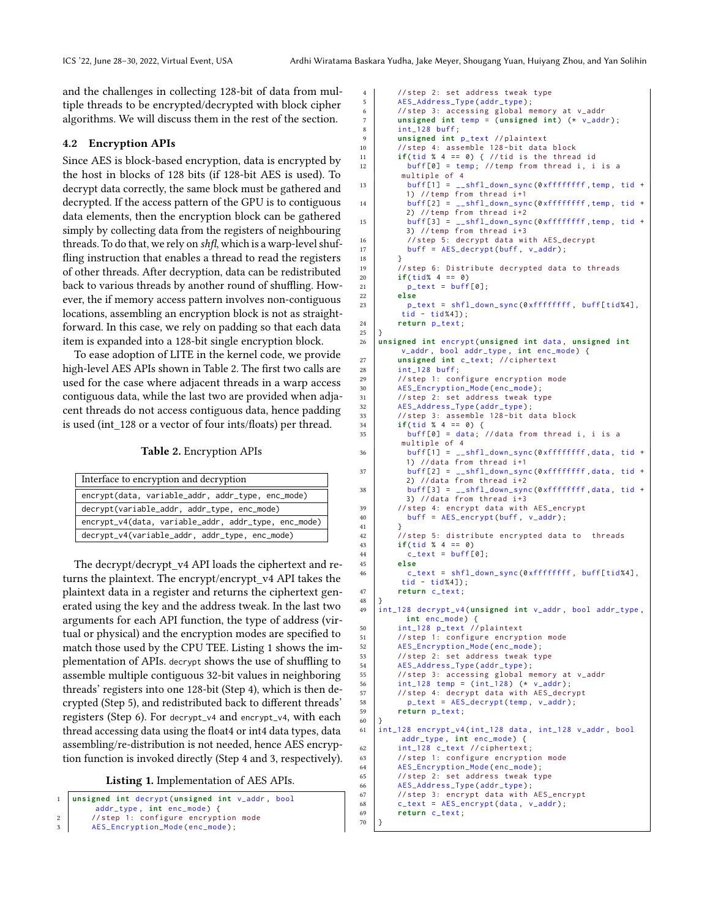and the challenges in collecting 128-bit of data from multiple threads to be encrypted/decrypted with block cipher algorithms. We will discuss them in the rest of the section.

#### 4.2 Encryption APIs

Since AES is block-based encryption, data is encrypted by the host in blocks of 128 bits (if 128-bit AES is used). To decrypt data correctly, the same block must be gathered and decrypted. If the access pattern of the GPU is to contiguous data elements, then the encryption block can be gathered simply by collecting data from the registers of neighbouring threads. To do that, we rely on shfl, which is a warp-level shuffling instruction that enables a thread to read the registers of other threads. After decryption, data can be redistributed back to various threads by another round of shuffling. However, the if memory access pattern involves non-contiguous locations, assembling an encryption block is not as straightforward. In this case, we rely on padding so that each data item is expanded into a 128-bit single encryption block.

To ease adoption of LITE in the kernel code, we provide high-level AES APIs shown in Table [2.](#page-5-0) The first two calls are used for the case where adjacent threads in a warp access contiguous data, while the last two are provided when adjacent threads do not access contiguous data, hence padding is used (int\_128 or a vector of four ints/floats) per thread.

Table 2. Encryption APIs

<span id="page-5-0"></span>

| Interface to encryption and decryption               |  |  |  |  |  |
|------------------------------------------------------|--|--|--|--|--|
| encrypt(data, variable_addr, addr_type, enc_mode)    |  |  |  |  |  |
| decrypt(variable_addr, addr_type, enc_mode)          |  |  |  |  |  |
| encrypt_v4(data, variable_addr, addr_type, enc_mode) |  |  |  |  |  |
| decrypt_v4(variable_addr, addr_type, enc_mode)       |  |  |  |  |  |

The decrypt/decrypt\_v4 API loads the ciphertext and returns the plaintext. The encrypt/encrypt\_v4 API takes the plaintext data in a register and returns the ciphertext generated using the key and the address tweak. In the last two arguments for each API function, the type of address (virtual or physical) and the encryption modes are specified to match those used by the CPU TEE. Listing [1](#page-5-1) shows the implementation of APIs. decrypt shows the use of shuffling to assemble multiple contiguous 32-bit values in neighboring threads' registers into one 128-bit (Step 4), which is then decrypted (Step 5), and redistributed back to different threads' registers (Step 6). For decrypt\_v4 and encrypt\_v4, with each thread accessing data using the float4 or int4 data types, data assembling/re-distribution is not needed, hence AES encryption function is invoked directly (Step 4 and 3, respectively).

Listing 1. Implementation of AES APIs.

```
1 unsigned int decrypt ( unsigned int v_addr , bool
          addr_type , int enc_mode ) {
2 // step 1: configure encryption mode<br>3 AFS Encryption Mode (enc. mode)
         AES_Encryption_Mode(enc_mode);
```

```
4 // step 2: set address tweak type
5 AES_Address_Type ( addr_type ) ;
 6 // step 3: accessing global memory at v_addr
7 unsigned int temp = ( unsigned int ) (* v_addr ) ;
8 \quad \text{int}_2 128 \text{ buffer};9 unsigned int p_text // plaintext
10 // step 4: assemble 128-bit data block
11 if(tid % 4 == 0) { // tid is the thread id
12 buff [0] = temp; // temp from thread i, i is a
         multiple of 4
13 buff[1] = __shfl_down_sync (0xffffffff, temp, tid +
          1) // temp from thread i+1
14 buff [2] = __shfl_down_sync (0xffffffff, temp, tid +<br>2) //temp from thread i+2
15 buff [3] = \_shfl\_down\_sync(0 \times ffffffffff, temp, tid +3) // temp from thread i+3
16 // step 5: decrypt data with AES_decrypt
17 buff = AES_decrypt(buff, v_addr);
18 }
19 // step 6: Distribute decrypted data to threads
20 if(\text{tid\%} 4 == 0)
21 p_{\text{text}} = \text{buffer}\begin{array}{c|c}\n 22 & \text{else} \\
 23 & \text{p} \end{array}p_text = shfl_down_sync(0xffffffff, buff[tid%4],
         tid - tid%4]);
24 return p_text ;
\frac{25}{26}26 unsigned int encrypt ( unsigned int data , unsigned int
         v_addr , bool addr_type , int enc_mode ) {
27 unsigned int c_text ; // ciphertext
28 | int_128 buff;
29 // step 1: configure encryption mode
30 AES_Encryption_Mode(enc_mode);<br>31 //step 2: set address tweak ty
        // step 2: set address tweak type
32 AES_Address_Type(addr_type);
33 // step 3: assemble 128-bit data block<br>34 if (tid % 4 == 0) {
        if(tid % 4 == 0) {
35 buff [0] = data; // data from thread i, i is a
         multiple of 4<br>buff[1] = -36 buff[1] = \_shfl\_down\_sync(0 \times ffffffff, data, tid +1) // data from thread i+1
37 buff [2] = _{\text{Lshfl\_down\_sync}} (0xffffffff, data, tid +
          2) // data from thread i+2
38 buff[3] = \_shfl\_down\_sync(0xffffffff, data, tid +3) // data from thread i+3
39 // step 4: encrypt data with AES_encrypt
40 buff = AES_encrypt(buff, v_addr);
41 }
42 // step 5: distribute encrypted data to threads
43 if( tid % 4 == 0)
44 c_{\text{text}} = \text{buffer}45 else
46 c_text = shfl_down_sync(0 \timesfffffffff, buff[tid%4],
         tid - tid%4]);
47 return c_text ;
48 }
49 int_128 decrypt_v4 ( unsigned int v_addr , bool addr_type ,
          int enc_mode) {
50 int_128 p_text // plaintext
51 // step 1: configure encryption mode
52 AES_Encryption_Mode(enc_mode);
53 // step 2: set address tweak type
54 AES_Address_Type(addr_type);
55 // step 3: accessing global memory at v_addr
56 int_128 temp = ( int_128 ) (* v_addr ) ;
57 // step 4: decrypt data with AES_decrypt
58 p_text = AES_decrypt (temp, v_addr);
59 return p_text ;
60 \mid \}61 int_128 encrypt_v4 ( int_128 data , int_128 v_addr , bool
         addr_type , int enc_mode ) {
62 int_128 c_text // ciphertext ;
63 // step 1: configure encryption mode
64 AES_Encryption_Mode (enc_mode);<br>65 //step 2: set address tweak ty
        //step 2: set address tweak type
66 AES_Address_Type(addr_type);<br>67 //step 3: encrypt data with
        //step 3: encrypt data with AES_encrypt
68 c_{\texttt{text}} = \texttt{AES\_encrypt} (\texttt{data}, \texttt{v\_addr});69 return c_text ;
70 }
```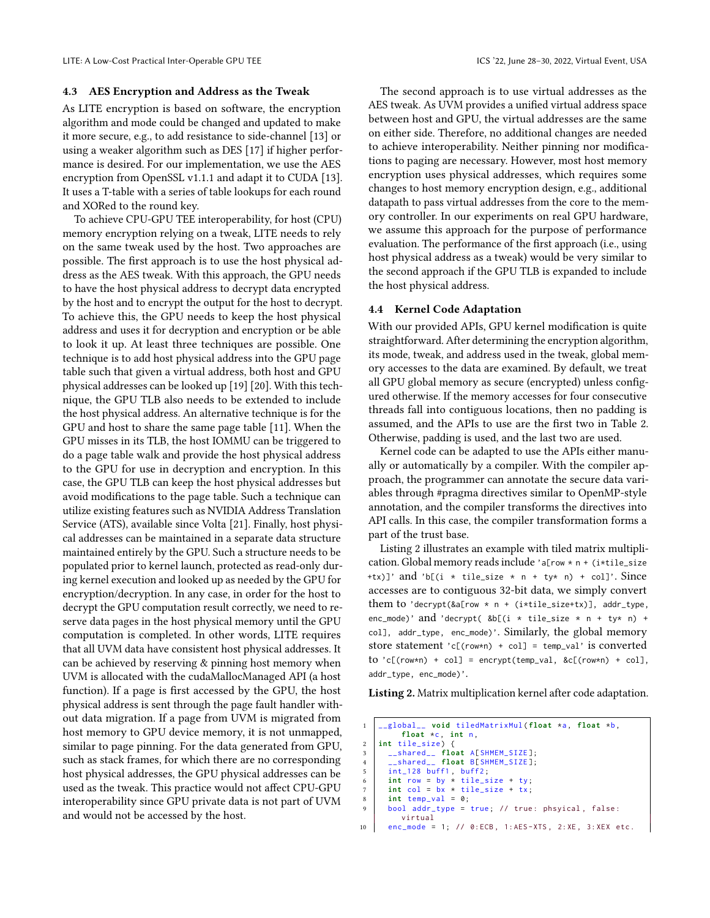#### 4.3 AES Encryption and Address as the Tweak

As LITE encryption is based on software, the encryption algorithm and mode could be changed and updated to make it more secure, e.g., to add resistance to side-channel [\[13\]](#page-11-12) or using a weaker algorithm such as DES [\[17\]](#page-11-13) if higher performance is desired. For our implementation, we use the AES encryption from OpenSSL v1.1.1 and adapt it to CUDA [\[13\]](#page-11-12). It uses a T-table with a series of table lookups for each round and XORed to the round key.

To achieve CPU-GPU TEE interoperability, for host (CPU) memory encryption relying on a tweak, LITE needs to rely on the same tweak used by the host. Two approaches are possible. The first approach is to use the host physical address as the AES tweak. With this approach, the GPU needs to have the host physical address to decrypt data encrypted by the host and to encrypt the output for the host to decrypt. To achieve this, the GPU needs to keep the host physical address and uses it for decryption and encryption or be able to look it up. At least three techniques are possible. One technique is to add host physical address into the GPU page table such that given a virtual address, both host and GPU physical addresses can be looked up [\[19\]](#page-11-14) [\[20\]](#page-11-15). With this technique, the GPU TLB also needs to be extended to include the host physical address. An alternative technique is for the GPU and host to share the same page table [\[11\]](#page-11-16). When the GPU misses in its TLB, the host IOMMU can be triggered to do a page table walk and provide the host physical address to the GPU for use in decryption and encryption. In this case, the GPU TLB can keep the host physical addresses but avoid modifications to the page table. Such a technique can utilize existing features such as NVIDIA Address Translation Service (ATS), available since Volta [\[21\]](#page-11-17). Finally, host physical addresses can be maintained in a separate data structure maintained entirely by the GPU. Such a structure needs to be populated prior to kernel launch, protected as read-only during kernel execution and looked up as needed by the GPU for encryption/decryption. In any case, in order for the host to decrypt the GPU computation result correctly, we need to reserve data pages in the host physical memory until the GPU computation is completed. In other words, LITE requires that all UVM data have consistent host physical addresses. It can be achieved by reserving & pinning host memory when UVM is allocated with the cudaMallocManaged API (a host function). If a page is first accessed by the GPU, the host physical address is sent through the page fault handler without data migration. If a page from UVM is migrated from host memory to GPU device memory, it is not unmapped, similar to page pinning. For the data generated from GPU, such as stack frames, for which there are no corresponding host physical addresses, the GPU physical addresses can be used as the tweak. This practice would not affect CPU-GPU interoperability since GPU private data is not part of UVM and would not be accessed by the host.

The second approach is to use virtual addresses as the AES tweak. As UVM provides a unified virtual address space between host and GPU, the virtual addresses are the same on either side. Therefore, no additional changes are needed to achieve interoperability. Neither pinning nor modifications to paging are necessary. However, most host memory encryption uses physical addresses, which requires some changes to host memory encryption design, e.g., additional datapath to pass virtual addresses from the core to the memory controller. In our experiments on real GPU hardware, we assume this approach for the purpose of performance evaluation. The performance of the first approach (i.e., using host physical address as a tweak) would be very similar to the second approach if the GPU TLB is expanded to include the host physical address.

## 4.4 Kernel Code Adaptation

With our provided APIs, GPU kernel modification is quite straightforward. After determining the encryption algorithm, its mode, tweak, and address used in the tweak, global memory accesses to the data are examined. By default, we treat all GPU global memory as secure (encrypted) unless configured otherwise. If the memory accesses for four consecutive threads fall into contiguous locations, then no padding is assumed, and the APIs to use are the first two in Table [2.](#page-5-0) Otherwise, padding is used, and the last two are used.

Kernel code can be adapted to use the APIs either manually or automatically by a compiler. With the compiler approach, the programmer can annotate the secure data variables through #pragma directives similar to OpenMP-style annotation, and the compiler transforms the directives into API calls. In this case, the compiler transformation forms a part of the trust base.

Listing [2](#page-6-0) illustrates an example with tiled matrix multiplication. Global memory reads include 'a[row \* n + (i\*tile\_size +tx)]' and 'b[(i \* tile\_size \* n + ty\* n) + col]'. Since accesses are to contiguous 32-bit data, we simply convert them to 'decrypt(&a[row \* n + (i\*tile\_size+tx)], addr\_type, enc\_mode)' and 'decrypt( &b[(i \* tile\_size \* n + ty\* n) + col], addr\_type, enc\_mode)'. Similarly, the global memory store statement 'c[(row\*n) + col] = temp\_val' is converted  $to 'c[(row*n) + col] = encrypt(temp_val, &c[(row*n) + col],$ addr\_type, enc\_mode)'.

<span id="page-6-0"></span>Listing 2. Matrix multiplication kernel after code adaptation.

```
1 __global__ void tiledMatrixMul ( float *a, float *b,
             float *c, int n,
2 int tile_size) {<br>3 __shared__ floa
 3 __shared__ float A[ SHMEM_SIZE ];
4 __shared__ float B[ SHMEM_SIZE ];
5 \quad \text{int}_1128 buff1, buff2;
6 int row = by * tile_size + ty;<br>7 int col = bx * tile_size + tx;
7 int col = bx * tile_size + tx;<br>8 int temp val = 0;
\begin{array}{c|c} 8 & \text{int temp\_val} = 0; \\ 9 & \text{bool addr type} = \end{array}bool addr_type = true; // true: phsyical, false:
             virtual
10 enc_mode = 1; // 0: ECB, 1: AES-XTS, 2: XE, 3: XEX etc.
```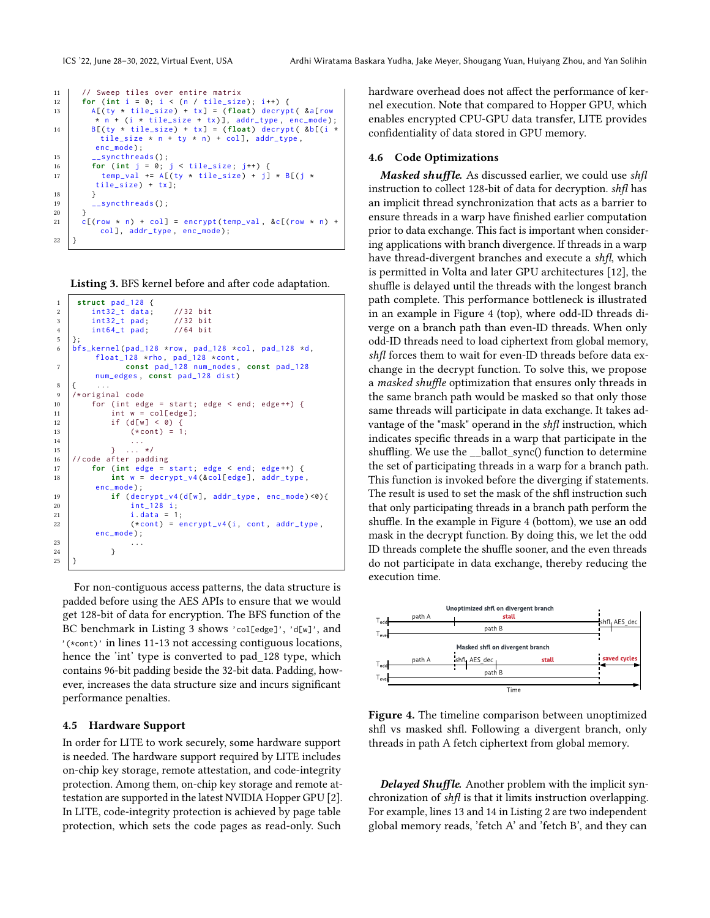```
11 // Sweep tiles over entire matrix
12 for (\text{int } i = 0; i < (n / \text{tile\_size}); i^{++}) {
13 A[(ty * tile_size) + tx] = (float) decrypt ( &a[row
        * n + (i * tile_size + tx)], addr_type, enc_mode);
14 B[(ty \star tile_size) + tx] = (float) decrypt(8b[(i \startile_size * n + ty * n) + col], addr_type,
        enc_mode) :
15 __syncthreads ();
16 for (int j = 0; j < tile_size; j^{++}) {
17 \vert temp_val += A[(ty * tile_size) + j] * B[(j *
        tile_size ) + tx ];
18 }
19 __syncthreads();
20 }
21 | c[(row * n) + col] = encrypt(temp_val, &c[(row * n) +col], addr_type, enc_mode);
22 \mid
```
<span id="page-7-0"></span>Listing 3. BFS kernel before and after code adaptation.

```
1 struct pad_128 {
\begin{array}{c|cc} 2 & \text{int32}_t \text{ data} ; & \text{//32 bit} \\ 3 & \text{int32}_t \text{ pad} ; & \text{//32 bit} \end{array}3 int32_t pad;
4 | int64_t pad; //64 bit
\begin{array}{c|c} 5 & \frac{1}{2} \\ 6 & \frac{1}{2} \end{array}bfs_kernel(pad_128 *row, pad_128 *col, pad_128 *d,
           float_128 \starrho, pad_128 \starcont,
7 const pad_128 num_nodes , const pad_128
           num_edges , const pad_128 dist )
 8 { ...
 9 /* original code
10 for (int edge = start; edge < end; edge ++) {<br>11 int w = colledge]:
               int w = col[edge];12 if (d[w] < 0) {<br>
13 if (\text{dom } t) = 1(x \text{cont}) = 1;
14 ...
15 } ... */
16 // code after padding
17 for (int edge = start; edge < end; edge ++) {
18 int w = decrypt_v4(&col[edge], addr_type,
           enc_mode ) ;
19 if ( decrypt v4 (d[w], addr type, enc_mode ) <0) {
20 \left| \begin{array}{ccc} 20 & \text{int} & 128 \\ 21 & \text{int} & 1 \end{array} \right|i. data = 1;
22 \vert (*cont) = encrypt_v4(i, cont, addr_type,
           enc_mode) ;
23 \qquad \qquad \ldots24 }
25 \mid \}
```
For non-contiguous access patterns, the data structure is padded before using the AES APIs to ensure that we would get 128-bit of data for encryption. The BFS function of the BC benchmark in Listing [3](#page-7-0) shows 'col[edge]', 'd[w]', and '(\*cont)' in lines 11-13 not accessing contiguous locations, hence the 'int' type is converted to pad\_128 type, which contains 96-bit padding beside the 32-bit data. Padding, however, increases the data structure size and incurs significant performance penalties.

# 4.5 Hardware Support

In order for LITE to work securely, some hardware support is needed. The hardware support required by LITE includes on-chip key storage, remote attestation, and code-integrity protection. Among them, on-chip key storage and remote attestation are supported in the latest NVIDIA Hopper GPU [\[2\]](#page-11-18). In LITE, code-integrity protection is achieved by page table protection, which sets the code pages as read-only. Such

hardware overhead does not affect the performance of kernel execution. Note that compared to Hopper GPU, which enables encrypted CPU-GPU data transfer, LITE provides confidentiality of data stored in GPU memory.

#### <span id="page-7-2"></span>4.6 Code Optimizations

Masked shuffle. As discussed earlier, we could use shfl instruction to collect 128-bit of data for decryption. shfl has an implicit thread synchronization that acts as a barrier to ensure threads in a warp have finished earlier computation prior to data exchange. This fact is important when considering applications with branch divergence. If threads in a warp have thread-divergent branches and execute a shfl, which is permitted in Volta and later GPU architectures [\[12\]](#page-11-19), the shuffle is delayed until the threads with the longest branch path complete. This performance bottleneck is illustrated in an example in Figure [4](#page-7-1) (top), where odd-ID threads diverge on a branch path than even-ID threads. When only odd-ID threads need to load ciphertext from global memory, shfl forces them to wait for even-ID threads before data exchange in the decrypt function. To solve this, we propose a masked shuffle optimization that ensures only threads in the same branch path would be masked so that only those same threads will participate in data exchange. It takes advantage of the "mask" operand in the shfl instruction, which indicates specific threads in a warp that participate in the shuffling. We use the \_\_ballot\_sync() function to determine the set of participating threads in a warp for a branch path. This function is invoked before the diverging if statements. The result is used to set the mask of the shfl instruction such that only participating threads in a branch path perform the shuffle. In the example in Figure [4](#page-7-1) (bottom), we use an odd mask in the decrypt function. By doing this, we let the odd ID threads complete the shuffle sooner, and the even threads do not participate in data exchange, thereby reducing the execution time.

<span id="page-7-1"></span>

**Figure 4.** The timeline comparison between unoptimized shfl vs masked shfl. Following a divergent branch, only threads in path A fetch ciphertext from global memory.

Delayed Shuffle. Another problem with the implicit synchronization of shfl is that it limits instruction overlapping. For example, lines 13 and 14 in Listing 2 are two independent global memory reads, 'fetch A' and 'fetch B', and they can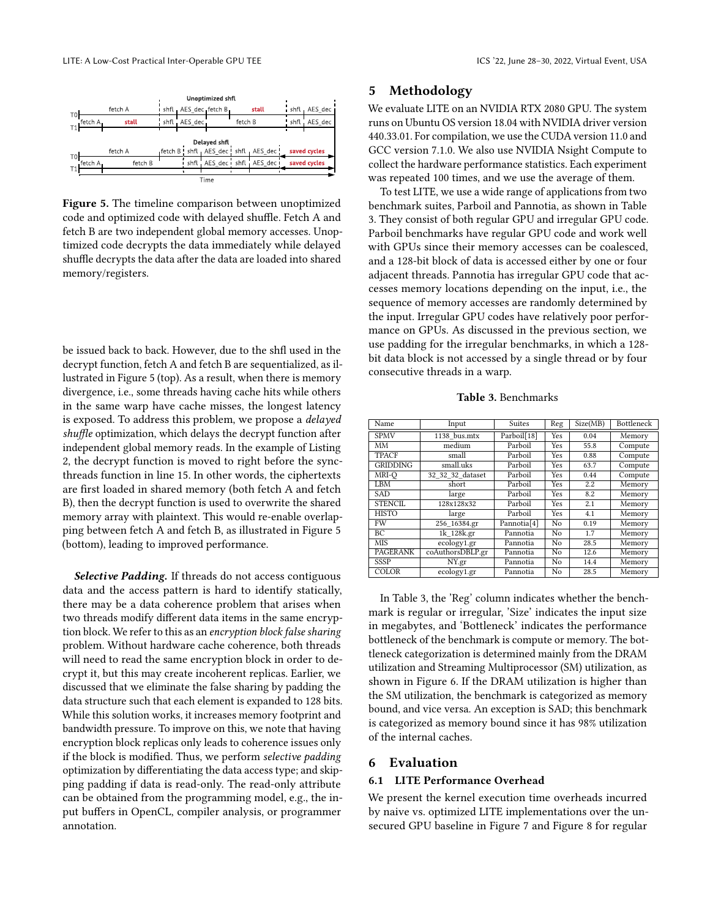<span id="page-8-1"></span>

Figure 5. The timeline comparison between unoptimized code and optimized code with delayed shuffle. Fetch A and fetch B are two independent global memory accesses. Unoptimized code decrypts the data immediately while delayed shuffle decrypts the data after the data are loaded into shared memory/registers.

be issued back to back. However, due to the shfl used in the decrypt function, fetch A and fetch B are sequentialized, as illustrated in Figure [5](#page-8-1) (top). As a result, when there is memory divergence, i.e., some threads having cache hits while others in the same warp have cache misses, the longest latency is exposed. To address this problem, we propose a delayed shuffle optimization, which delays the decrypt function after independent global memory reads. In the example of Listing 2, the decrypt function is moved to right before the syncthreads function in line 15. In other words, the ciphertexts are first loaded in shared memory (both fetch A and fetch B), then the decrypt function is used to overwrite the shared memory array with plaintext. This would re-enable overlapping between fetch A and fetch B, as illustrated in Figure [5](#page-8-1) (bottom), leading to improved performance.

Selective Padding. If threads do not access contiguous data and the access pattern is hard to identify statically, there may be a data coherence problem that arises when two threads modify different data items in the same encryption block. We refer to this as an encryption block false sharing problem. Without hardware cache coherence, both threads will need to read the same encryption block in order to decrypt it, but this may create incoherent replicas. Earlier, we discussed that we eliminate the false sharing by padding the data structure such that each element is expanded to 128 bits. While this solution works, it increases memory footprint and bandwidth pressure. To improve on this, we note that having encryption block replicas only leads to coherence issues only if the block is modified. Thus, we perform selective padding optimization by differentiating the data access type; and skipping padding if data is read-only. The read-only attribute can be obtained from the programming model, e.g., the input buffers in OpenCL, compiler analysis, or programmer annotation.

# <span id="page-8-0"></span>5 Methodology

We evaluate LITE on an NVIDIA RTX 2080 GPU. The system runs on Ubuntu OS version 18.04 with NVIDIA driver version 440.33.01. For compilation, we use the CUDA version 11.0 and GCC version 7.1.0. We also use NVIDIA Nsight Compute to collect the hardware performance statistics. Each experiment was repeated 100 times, and we use the average of them.

To test LITE, we use a wide range of applications from two benchmark suites, Parboil and Pannotia, as shown in Table [3.](#page-8-2) They consist of both regular GPU and irregular GPU code. Parboil benchmarks have regular GPU code and work well with GPUs since their memory accesses can be coalesced, and a 128-bit block of data is accessed either by one or four adjacent threads. Pannotia has irregular GPU code that accesses memory locations depending on the input, i.e., the sequence of memory accesses are randomly determined by the input. Irregular GPU codes have relatively poor performance on GPUs. As discussed in the previous section, we use padding for the irregular benchmarks, in which a 128 bit data block is not accessed by a single thread or by four consecutive threads in a warp.

Table 3. Benchmarks

<span id="page-8-2"></span>

| Name            | Input            | <b>Suites</b>           | Reg  | Size(MB) | <b>Bottleneck</b> |
|-----------------|------------------|-------------------------|------|----------|-------------------|
| <b>SPMV</b>     | 1138 bus.mtx     | Parboil[18]             | Yes  | 0.04     | Memory            |
| MМ              | medium           | Parboil                 | Yes  | 55.8     | Compute           |
| <b>TPACF</b>    | small            | Parboil                 | Yes  | 0.88     | Compute           |
| <b>GRIDDING</b> | small.uks        | Parboil                 | Yes  | 63.7     | Compute           |
| MRI-O           | 32 32 32 dataset | Parboil                 | Yes  | 0.44     | Compute           |
| LBM             | short            | Parboil                 | Yes. | 2.2      | Memory            |
| <b>SAD</b>      | large            | Parboil                 | Yes  | 8.2      | Memory            |
| <b>STENCIL</b>  | 128x128x32       | Parboil                 | Yes  | 2.1      | Memory            |
| <b>HISTO</b>    | large            | Parboil                 | Yes  | 4.1      | Memory            |
| FW              | 256 16384.gr     | Pannotia <sup>[4]</sup> | No   | 0.19     | Memory            |
| BС              | 1k 128k.gr       | Pannotia                | No   | 1.7      | Memory            |
| <b>MIS</b>      | ecology1.gr      | Pannotia                | No   | 28.5     | Memory            |
| PAGERANK        | coAuthorsDBLP.gr | Pannotia                | No   | 12.6     | Memory            |
| <b>SSSP</b>     | NY.gr            | Pannotia                | No   | 14.4     | Memory            |
| COLOR           | ecology1.gr      | Pannotia                | No   | 28.5     | Memory            |

In Table [3,](#page-8-2) the 'Reg' column indicates whether the benchmark is regular or irregular, 'Size' indicates the input size in megabytes, and 'Bottleneck' indicates the performance bottleneck of the benchmark is compute or memory. The bottleneck categorization is determined mainly from the DRAM utilization and Streaming Multiprocessor (SM) utilization, as shown in Figure [6.](#page-9-0) If the DRAM utilization is higher than the SM utilization, the benchmark is categorized as memory bound, and vice versa. An exception is SAD; this benchmark is categorized as memory bound since it has 98% utilization of the internal caches.

## 6 Evaluation

#### 6.1 LITE Performance Overhead

We present the kernel execution time overheads incurred by naive vs. optimized LITE implementations over the unsecured GPU baseline in Figure [7](#page-9-1) and Figure [8](#page-10-0) for regular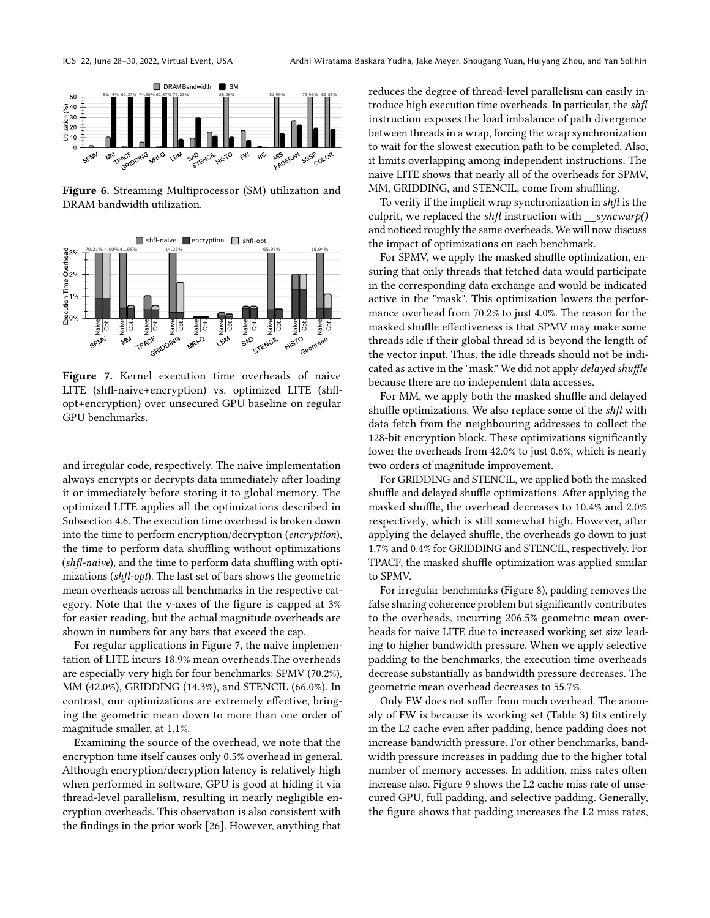<span id="page-9-0"></span>

Figure 6. Streaming Multiprocessor (SM) utilization and DRAM bandwidth utilization.

<span id="page-9-1"></span>

Figure 7. Kernel execution time overheads of naive LITE (shfl-naive+encryption) vs. optimized LITE (shflopt+encryption) over unsecured GPU baseline on regular GPU benchmarks.

and irregular code, respectively. The naive implementation always encrypts or decrypts data immediately after loading it or immediately before storing it to global memory. The optimized LITE applies all the optimizations described in Subsection [4.6.](#page-7-2) The execution time overhead is broken down into the time to perform encryption/decryption (encryption), the time to perform data shuffling without optimizations (shfl-naive), and the time to perform data shuffling with optimizations (shfl-opt). The last set of bars shows the geometric mean overheads across all benchmarks in the respective category. Note that the y-axes of the figure is capped at 3% for easier reading, but the actual magnitude overheads are shown in numbers for any bars that exceed the cap.

For regular applications in Figure [7,](#page-9-1) the naive implementation of LITE incurs 18.9% mean overheads.The overheads are especially very high for four benchmarks: SPMV (70.2%), MM (42.0%), GRIDDING (14.3%), and STENCIL (66.0%). In contrast, our optimizations are extremely effective, bringing the geometric mean down to more than one order of magnitude smaller, at 1.1%.

Examining the source of the overhead, we note that the encryption time itself causes only 0.5% overhead in general. Although encryption/decryption latency is relatively high when performed in software, GPU is good at hiding it via thread-level parallelism, resulting in nearly negligible encryption overheads. This observation is also consistent with the findings in the prior work [\[26\]](#page-12-0). However, anything that

reduces the degree of thread-level parallelism can easily introduce high execution time overheads. In particular, the shfl instruction exposes the load imbalance of path divergence between threads in a wrap, forcing the wrap synchronization to wait for the slowest execution path to be completed. Also, it limits overlapping among independent instructions. The naive LITE shows that nearly all of the overheads for SPMV, MM, GRIDDING, and STENCIL, come from shuffling.

To verify if the implicit wrap synchronization in shfl is the culprit, we replaced the shfl instruction with  $\_\text{symcwarp}()$ and noticed roughly the same overheads. We will now discuss the impact of optimizations on each benchmark.

For SPMV, we apply the masked shuffle optimization, ensuring that only threads that fetched data would participate in the corresponding data exchange and would be indicated active in the "mask". This optimization lowers the performance overhead from 70.2% to just 4.0%. The reason for the masked shuffle effectiveness is that SPMV may make some threads idle if their global thread id is beyond the length of the vector input. Thus, the idle threads should not be indicated as active in the "mask." We did not apply delayed shuffle because there are no independent data accesses.

For MM, we apply both the masked shuffle and delayed shuffle optimizations. We also replace some of the shfl with data fetch from the neighbouring addresses to collect the 128-bit encryption block. These optimizations significantly lower the overheads from 42.0% to just 0.6%, which is nearly two orders of magnitude improvement.

For GRIDDING and STENCIL, we applied both the masked shuffle and delayed shuffle optimizations. After applying the masked shuffle, the overhead decreases to 10.4% and 2.0% respectively, which is still somewhat high. However, after applying the delayed shuffle, the overheads go down to just 1.7% and 0.4% for GRIDDING and STENCIL, respectively. For TPACF, the masked shuffle optimization was applied similar to SPMV.

For irregular benchmarks (Figure [8\)](#page-10-0), padding removes the false sharing coherence problem but significantly contributes to the overheads, incurring 206.5% geometric mean overheads for naive LITE due to increased working set size leading to higher bandwidth pressure. When we apply selective padding to the benchmarks, the execution time overheads decrease substantially as bandwidth pressure decreases. The geometric mean overhead decreases to 55.7%.

Only FW does not suffer from much overhead. The anomaly of FW is because its working set (Table [3\)](#page-8-2) fits entirely in the L2 cache even after padding, hence padding does not increase bandwidth pressure. For other benchmarks, bandwidth pressure increases in padding due to the higher total number of memory accesses. In addition, miss rates often increase also. Figure [9](#page-10-1) shows the L2 cache miss rate of unsecured GPU, full padding, and selective padding. Generally, the figure shows that padding increases the L2 miss rates,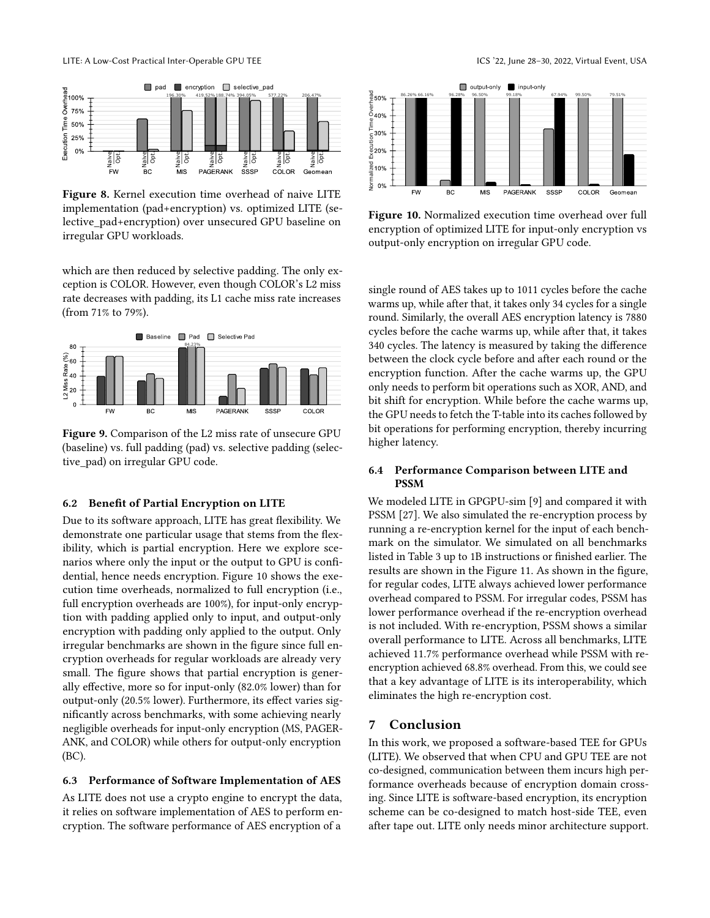<span id="page-10-0"></span>

Figure 8. Kernel execution time overhead of naive LITE implementation (pad+encryption) vs. optimized LITE (selective\_pad+encryption) over unsecured GPU baseline on irregular GPU workloads.

which are then reduced by selective padding. The only exception is COLOR. However, even though COLOR's L2 miss rate decreases with padding, its L1 cache miss rate increases (from 71% to 79%).

<span id="page-10-1"></span>

Figure 9. Comparison of the L2 miss rate of unsecure GPU (baseline) vs. full padding (pad) vs. selective padding (selective\_pad) on irregular GPU code.

#### 6.2 Benefit of Partial Encryption on LITE

Due to its software approach, LITE has great flexibility. We demonstrate one particular usage that stems from the flexibility, which is partial encryption. Here we explore scenarios where only the input or the output to GPU is confidential, hence needs encryption. Figure [10](#page-10-2) shows the execution time overheads, normalized to full encryption (i.e., full encryption overheads are 100%), for input-only encryption with padding applied only to input, and output-only encryption with padding only applied to the output. Only irregular benchmarks are shown in the figure since full encryption overheads for regular workloads are already very small. The figure shows that partial encryption is generally effective, more so for input-only (82.0% lower) than for output-only (20.5% lower). Furthermore, its effect varies significantly across benchmarks, with some achieving nearly negligible overheads for input-only encryption (MS, PAGER-ANK, and COLOR) while others for output-only encryption (BC).

# 6.3 Performance of Software Implementation of AES

As LITE does not use a crypto engine to encrypt the data, it relies on software implementation of AES to perform encryption. The software performance of AES encryption of a

<span id="page-10-2"></span>

Figure 10. Normalized execution time overhead over full encryption of optimized LITE for input-only encryption vs output-only encryption on irregular GPU code.

single round of AES takes up to 1011 cycles before the cache warms up, while after that, it takes only 34 cycles for a single round. Similarly, the overall AES encryption latency is 7880 cycles before the cache warms up, while after that, it takes 340 cycles. The latency is measured by taking the difference between the clock cycle before and after each round or the encryption function. After the cache warms up, the GPU only needs to perform bit operations such as XOR, AND, and bit shift for encryption. While before the cache warms up, the GPU needs to fetch the T-table into its caches followed by bit operations for performing encryption, thereby incurring higher latency.

# 6.4 Performance Comparison between LITE and PSSM

We modeled LITE in GPGPU-sim [\[9\]](#page-11-22) and compared it with PSSM [\[27\]](#page-12-1). We also simulated the re-encryption process by running a re-encryption kernel for the input of each benchmark on the simulator. We simulated on all benchmarks listed in Table [3](#page-8-2) up to 1B instructions or finished earlier. The results are shown in the Figure [11.](#page-11-23) As shown in the figure, for regular codes, LITE always achieved lower performance overhead compared to PSSM. For irregular codes, PSSM has lower performance overhead if the re-encryption overhead is not included. With re-encryption, PSSM shows a similar overall performance to LITE. Across all benchmarks, LITE achieved 11.7% performance overhead while PSSM with reencryption achieved 68.8% overhead. From this, we could see that a key advantage of LITE is its interoperability, which eliminates the high re-encryption cost.

# 7 Conclusion

In this work, we proposed a software-based TEE for GPUs (LITE). We observed that when CPU and GPU TEE are not co-designed, communication between them incurs high performance overheads because of encryption domain crossing. Since LITE is software-based encryption, its encryption scheme can be co-designed to match host-side TEE, even after tape out. LITE only needs minor architecture support.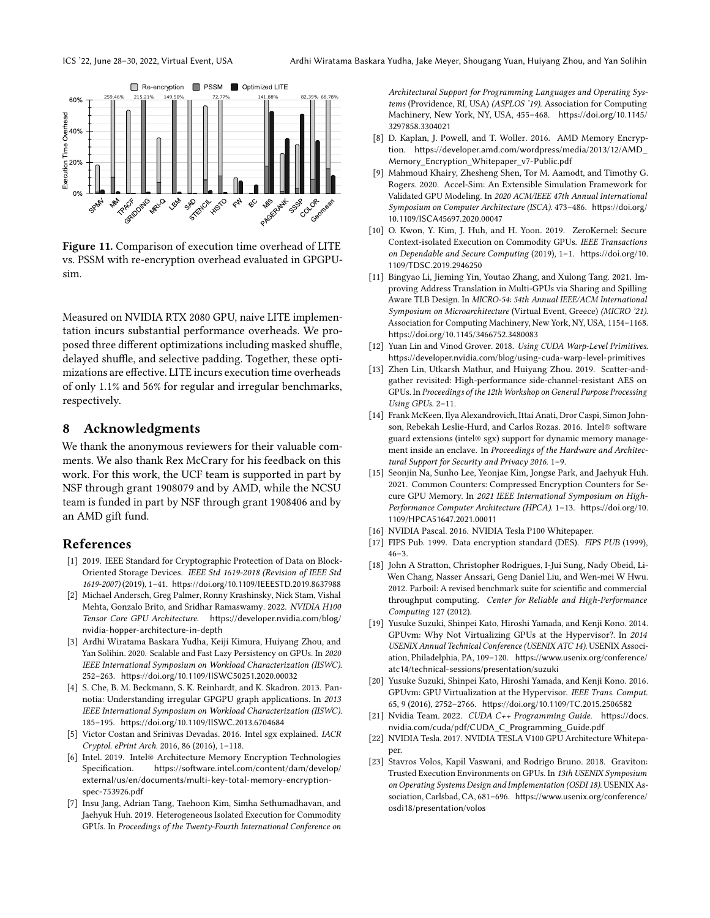<span id="page-11-23"></span>

Figure 11. Comparison of execution time overhead of LITE vs. PSSM with re-encryption overhead evaluated in GPGPUsim.

Measured on NVIDIA RTX 2080 GPU, naive LITE implementation incurs substantial performance overheads. We proposed three different optimizations including masked shuffle, delayed shuffle, and selective padding. Together, these optimizations are effective. LITE incurs execution time overheads of only 1.1% and 56% for regular and irregular benchmarks, respectively.

# 8 Acknowledgments

We thank the anonymous reviewers for their valuable comments. We also thank Rex McCrary for his feedback on this work. For this work, the UCF team is supported in part by NSF through grant 1908079 and by AMD, while the NCSU team is funded in part by NSF through grant 1908406 and by an AMD gift fund.

# References

- <span id="page-11-8"></span>[1] 2019. IEEE Standard for Cryptographic Protection of Data on Block-Oriented Storage Devices. IEEE Std 1619-2018 (Revision of IEEE Std 1619-2007) (2019), 1–41. <https://doi.org/10.1109/IEEESTD.2019.8637988>
- <span id="page-11-18"></span>[2] Michael Andersch, Greg Palmer, Ronny Krashinsky, Nick Stam, Vishal Mehta, Gonzalo Brito, and Sridhar Ramaswamy. 2022. NVIDIA H100 Tensor Core GPU Architecture. [https://developer.nvidia.com/blog/](https://developer.nvidia.com/blog/nvidia-hopper-architecture-in-depth) [nvidia-hopper-architecture-in-depth](https://developer.nvidia.com/blog/nvidia-hopper-architecture-in-depth)
- <span id="page-11-11"></span>[3] Ardhi Wiratama Baskara Yudha, Keiji Kimura, Huiyang Zhou, and Yan Solihin. 2020. Scalable and Fast Lazy Persistency on GPUs. In 2020 IEEE International Symposium on Workload Characterization (IISWC). 252–263. <https://doi.org/10.1109/IISWC50251.2020.00032>
- <span id="page-11-21"></span>[4] S. Che, B. M. Beckmann, S. K. Reinhardt, and K. Skadron. 2013. Pannotia: Understanding irregular GPGPU graph applications. In 2013 IEEE International Symposium on Workload Characterization (IISWC). 185–195. <https://doi.org/10.1109/IISWC.2013.6704684>
- <span id="page-11-7"></span>[5] Victor Costan and Srinivas Devadas. 2016. Intel sgx explained. IACR Cryptol. ePrint Arch. 2016, 86 (2016), 1–118.
- <span id="page-11-6"></span>[6] Intel. 2019. Intel® Architecture Memory Encryption Technologies Specification. [https://software.intel.com/content/dam/develop/](https://software.intel.com/content/dam/develop/external/us/en/documents/multi-key-total-memory-encryption-spec-753926.pdf) [external/us/en/documents/multi-key-total-memory-encryption](https://software.intel.com/content/dam/develop/external/us/en/documents/multi-key-total-memory-encryption-spec-753926.pdf)[spec-753926.pdf](https://software.intel.com/content/dam/develop/external/us/en/documents/multi-key-total-memory-encryption-spec-753926.pdf)
- <span id="page-11-1"></span>[7] Insu Jang, Adrian Tang, Taehoon Kim, Simha Sethumadhavan, and Jaehyuk Huh. 2019. Heterogeneous Isolated Execution for Commodity GPUs. In Proceedings of the Twenty-Fourth International Conference on

Architectural Support for Programming Languages and Operating Systems (Providence, RI, USA) (ASPLOS '19). Association for Computing Machinery, New York, NY, USA, 455–468. [https://doi.org/10.1145/](https://doi.org/10.1145/3297858.3304021) [3297858.3304021](https://doi.org/10.1145/3297858.3304021)

- <span id="page-11-5"></span>[8] D. Kaplan, J. Powell, and T. Woller. 2016. AMD Memory Encryption. [https://developer.amd.com/wordpress/media/2013/12/AMD\\_](https://developer.amd.com/wordpress/media/2013/12/AMD_Memory_Encryption_Whitepaper_v7-Public.pdf) [Memory\\_Encryption\\_Whitepaper\\_v7-Public.pdf](https://developer.amd.com/wordpress/media/2013/12/AMD_Memory_Encryption_Whitepaper_v7-Public.pdf)
- <span id="page-11-22"></span>[9] Mahmoud Khairy, Zhesheng Shen, Tor M. Aamodt, and Timothy G. Rogers. 2020. Accel-Sim: An Extensible Simulation Framework for Validated GPU Modeling. In 2020 ACM/IEEE 47th Annual International Symposium on Computer Architecture (ISCA). 473–486. [https://doi.org/](https://doi.org/10.1109/ISCA45697.2020.00047) [10.1109/ISCA45697.2020.00047](https://doi.org/10.1109/ISCA45697.2020.00047)
- <span id="page-11-9"></span>[10] O. Kwon, Y. Kim, J. Huh, and H. Yoon. 2019. ZeroKernel: Secure Context-isolated Execution on Commodity GPUs. IEEE Transactions on Dependable and Secure Computing (2019), 1–1. [https://doi.org/10.](https://doi.org/10.1109/TDSC.2019.2946250) [1109/TDSC.2019.2946250](https://doi.org/10.1109/TDSC.2019.2946250)
- <span id="page-11-16"></span>[11] Bingyao Li, Jieming Yin, Youtao Zhang, and Xulong Tang. 2021. Improving Address Translation in Multi-GPUs via Sharing and Spilling Aware TLB Design. In MICRO-54: 54th Annual IEEE/ACM International Symposium on Microarchitecture (Virtual Event, Greece) (MICRO '21). Association for Computing Machinery, New York, NY, USA, 1154–1168. <https://doi.org/10.1145/3466752.3480083>
- <span id="page-11-19"></span>[12] Yuan Lin and Vinod Grover. 2018. Using CUDA Warp-Level Primitives. <https://developer.nvidia.com/blog/using-cuda-warp-level-primitives>
- <span id="page-11-12"></span>[13] Zhen Lin, Utkarsh Mathur, and Huiyang Zhou. 2019. Scatter-andgather revisited: High-performance side-channel-resistant AES on GPUs. In Proceedings of the 12th Workshop on General Purpose Processing Using GPUs. 2–11.
- <span id="page-11-0"></span>[14] Frank McKeen, Ilya Alexandrovich, Ittai Anati, Dror Caspi, Simon Johnson, Rebekah Leslie-Hurd, and Carlos Rozas. 2016. Intel® software guard extensions (intel® sgx) support for dynamic memory management inside an enclave. In Proceedings of the Hardware and Architectural Support for Security and Privacy 2016. 1–9.
- <span id="page-11-10"></span>[15] Seonjin Na, Sunho Lee, Yeonjae Kim, Jongse Park, and Jaehyuk Huh. 2021. Common Counters: Compressed Encryption Counters for Secure GPU Memory. In 2021 IEEE International Symposium on High-Performance Computer Architecture (HPCA). 1–13. [https://doi.org/10.](https://doi.org/10.1109/HPCA51647.2021.00011) [1109/HPCA51647.2021.00011](https://doi.org/10.1109/HPCA51647.2021.00011)
- <span id="page-11-3"></span>[16] NVIDIA Pascal. 2016. NVIDIA Tesla P100 Whitepaper.
- <span id="page-11-13"></span>[17] FIPS Pub. 1999. Data encryption standard (DES). FIPS PUB (1999),  $46 - 3$ .
- <span id="page-11-20"></span>[18] John A Stratton, Christopher Rodrigues, I-Jui Sung, Nady Obeid, Li-Wen Chang, Nasser Anssari, Geng Daniel Liu, and Wen-mei W Hwu. 2012. Parboil: A revised benchmark suite for scientific and commercial throughput computing. Center for Reliable and High-Performance Computing 127 (2012).
- <span id="page-11-14"></span>[19] Yusuke Suzuki, Shinpei Kato, Hiroshi Yamada, and Kenji Kono. 2014. GPUvm: Why Not Virtualizing GPUs at the Hypervisor?. In 2014 USENIX Annual Technical Conference (USENIX ATC 14). USENIX Association, Philadelphia, PA, 109–120. [https://www.usenix.org/conference/](https://www.usenix.org/conference/atc14/technical-sessions/presentation/suzuki) [atc14/technical-sessions/presentation/suzuki](https://www.usenix.org/conference/atc14/technical-sessions/presentation/suzuki)
- <span id="page-11-15"></span>[20] Yusuke Suzuki, Shinpei Kato, Hiroshi Yamada, and Kenji Kono. 2016. GPUvm: GPU Virtualization at the Hypervisor. IEEE Trans. Comput. 65, 9 (2016), 2752–2766. <https://doi.org/10.1109/TC.2015.2506582>
- <span id="page-11-17"></span>[21] Nvidia Team. 2022. CUDA C++ Programming Guide. [https://docs.](https://docs.nvidia.com/cuda/pdf/CUDA_C_Programming_Guide.pdf) [nvidia.com/cuda/pdf/CUDA\\_C\\_Programming\\_Guide.pdf](https://docs.nvidia.com/cuda/pdf/CUDA_C_Programming_Guide.pdf)
- <span id="page-11-4"></span>[22] NVIDIA Tesla. 2017. NVIDIA TESLA V100 GPU Architecture Whitepaper.
- <span id="page-11-2"></span>[23] Stavros Volos, Kapil Vaswani, and Rodrigo Bruno. 2018. Graviton: Trusted Execution Environments on GPUs. In 13th USENIX Symposium on Operating Systems Design and Implementation (OSDI 18). USENIX Association, Carlsbad, CA, 681–696. [https://www.usenix.org/conference/](https://www.usenix.org/conference/osdi18/presentation/volos) [osdi18/presentation/volos](https://www.usenix.org/conference/osdi18/presentation/volos)